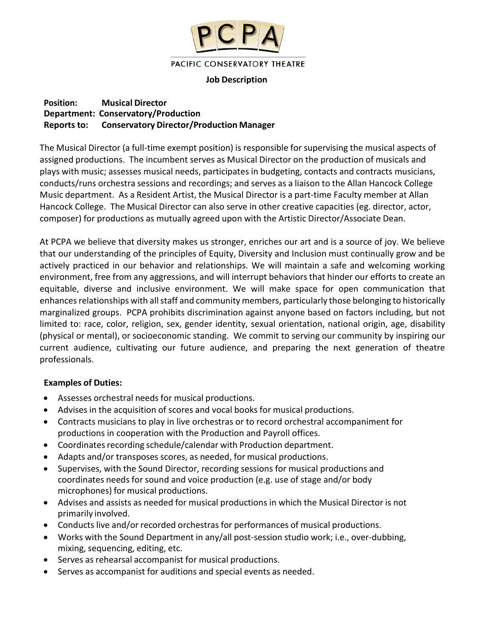

#### PACIFIC CONSERVATORY THEATRE

### **Job Description**

### **Position: Musical Director Department: Conservatory/Production Reports to: Conservatory Director/Production Manager**

The Musical Director (a full-time exempt position) is responsible for supervising the musical aspects of assigned productions. The incumbent serves as Musical Director on the production of musicals and plays with music; assesses musical needs, participates in budgeting, contacts and contracts musicians, conducts/runs orchestra sessions and recordings; and serves as a liaison to the Allan Hancock College Music department. As a Resident Artist, the Musical Director is a part-time Faculty member at Allan Hancock College. The Musical Director can also serve in other creative capacities (eg. director, actor, composer) for productions as mutually agreed upon with the Artistic Director/Associate Dean.

At PCPA we believe that diversity makes us stronger, enriches our art and is a source of joy. We believe that our understanding of the principles of Equity, Diversity and Inclusion must continually grow and be actively practiced in our behavior and relationships. We will maintain a safe and welcoming working environment, free from any aggressions, and will interrupt behaviors that hinder our efforts to create an equitable, diverse and inclusive environment. We will make space for open communication that enhances relationships with all staff and community members, particularly those belonging to historically marginalized groups. PCPA prohibits discrimination against anyone based on factors including, but not limited to: race, color, religion, sex, gender identity, sexual orientation, national origin, age, disability (physical or mental), or socioeconomic standing. We commit to serving our community by inspiring our current audience, cultivating our future audience, and preparing the next generation of theatre professionals.

### **Examples of Duties:**

- Assesses orchestral needs for musical productions.
- Advises in the acquisition of scores and vocal books for musical productions.
- Contracts musicians to play in live orchestras or to record orchestral accompaniment for productions in cooperation with the Production and Payroll offices.
- Coordinates recording schedule/calendar with Production department.
- Adapts and/or transposes scores, as needed, for musical productions.
- Supervises, with the Sound Director, recording sessions for musical productions and coordinates needs for sound and voice production (e.g. use of stage and/or body microphones) for musical productions.
- Advises and assists as needed for musical productions in which the Musical Director is not primarily involved.
- Conducts live and/or recorded orchestras for performances of musical productions.
- Works with the Sound Department in any/all post-session studio work; i.e., over-dubbing, mixing, sequencing, editing, etc.
- Serves as rehearsal accompanist for musical productions.
- Serves as accompanist for auditions and special events as needed.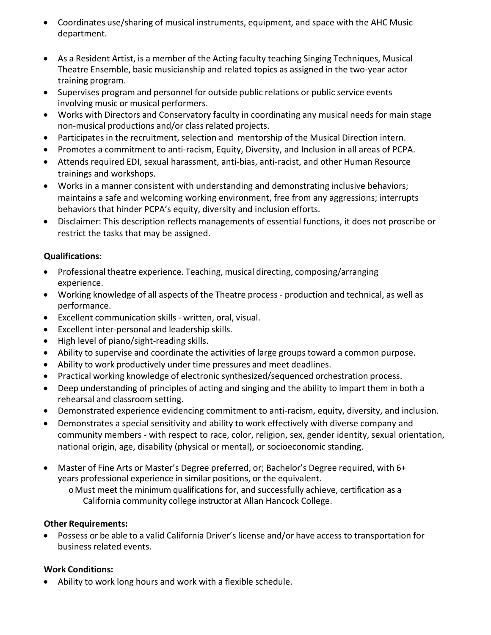- Coordinates use/sharing of musical instruments, equipment, and space with the AHC Music department.
- As a Resident Artist, is a member of the Acting faculty teaching Singing Techniques, Musical Theatre Ensemble, basic musicianship and related topics as assigned in the two-year actor training program.
- Supervises program and personnel for outside public relations or public service events involving music or musical performers.
- Works with Directors and Conservatory faculty in coordinating any musical needs for main stage non-musical productions and/or class related projects.
- Participates in the recruitment, selection and mentorship of the Musical Direction intern.
- Promotes a commitment to anti-racism, Equity, Diversity, and Inclusion in all areas of PCPA.
- Attends required EDI, sexual harassment, anti-bias, anti-racist, and other Human Resource trainings and workshops.
- Works in a manner consistent with understanding and demonstrating inclusive behaviors; maintains a safe and welcoming working environment, free from any aggressions; interrupts behaviors that hinder PCPA's equity, diversity and inclusion efforts.
- Disclaimer: This description reflects managements of essential functions, it does not proscribe or restrict the tasks that may be assigned.

# **Qualifications**:

- Professional theatre experience. Teaching, musical directing, composing/arranging experience.
- Working knowledge of all aspects of the Theatre process production and technical, as well as performance.
- Excellent communication skills written, oral, visual.
- Excellent inter-personal and leadership skills.
- High level of piano/sight-reading skills.
- Ability to supervise and coordinate the activities of large groups toward a common purpose.
- Ability to work productively under time pressures and meet deadlines.
- Practical working knowledge of electronic synthesized/sequenced orchestration process.
- Deep understanding of principles of acting and singing and the ability to impart them in both a rehearsal and classroom setting.
- Demonstrated experience evidencing commitment to anti-racism, equity, diversity, and inclusion.
- Demonstrates a special sensitivity and ability to work effectively with diverse company and community members - with respect to race, color, religion, sex, gender identity, sexual orientation, national origin, age, disability (physical or mental), or socioeconomic standing.
- Master of Fine Arts or Master's Degree preferred, or; Bachelor's Degree required, with 6+ years professional experience in similar positions, or the equivalent.

oMust meet the minimum qualifications for, and successfully achieve, certification as a California community college instructor at Allan Hancock College.

# **Other Requirements:**

• Possess or be able to a valid California Driver's license and/or have access to transportation for business related events.

# **Work Conditions:**

• Ability to work long hours and work with a flexible schedule.